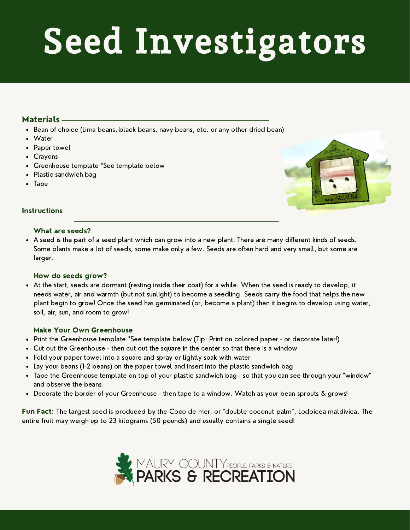# Seed Investigators

# Materials

- Bean of choice (Lima beans, black beans, navy beans, etc. or any other dried bean)
- Water
- Paper towel
- Crayons
- Greenhouse template \*See template below
- Plastic sandwich bag
- Tape



# **Instructions**

#### What are seeds?

A seed is the part of a seed [plant](https://kids.kiddle.co/Seed_plants) which can grow into a new plant. There are many different kinds of seeds. Some plants make a lot of seeds, some make only a few. Seeds are often hard and very small, but some are larger.

# How do seeds grow?

At the start, seeds are dormant (resting inside their coat) for a while. When the seed is ready to develop, it needs water, air and warmth (but not sunlight) to become a [seedling.](https://kids.kiddle.co/Seedling) Seeds carry the [food](https://kids.kiddle.co/Food) that helps the new plant begin to grow! Once the seed has germinated (or, become a plant) then it begins to develop using water, soil, air, sun, and room to grow!

# Make Your Own Greenhouse

- Print the Greenhouse template \*See template below (Tip: Print on colored paper or decorate later!)
- Cut out the Greenhouse then cut out the square in the center so that there is a window
- Fold your paper towel into a square and spray or lightly soak with water
- Lay your beans (1-2 beans) on the paper towel and insert into the plastic sandwich bag
- Tape the Greenhouse template on top of your plastic sandwich bag so that you can see through your "window" and observe the beans.
- Decorate the border of your Greenhouse then tape to a window. Watch as your bean sprouts & grows!

Fun Fact: The largest seed is produced by the Coco de mer, or "double coconut palm", Lodoicea maldivica. The entire fruit may weigh up to 23 kilograms (50 pounds) and usually contains a single seed!